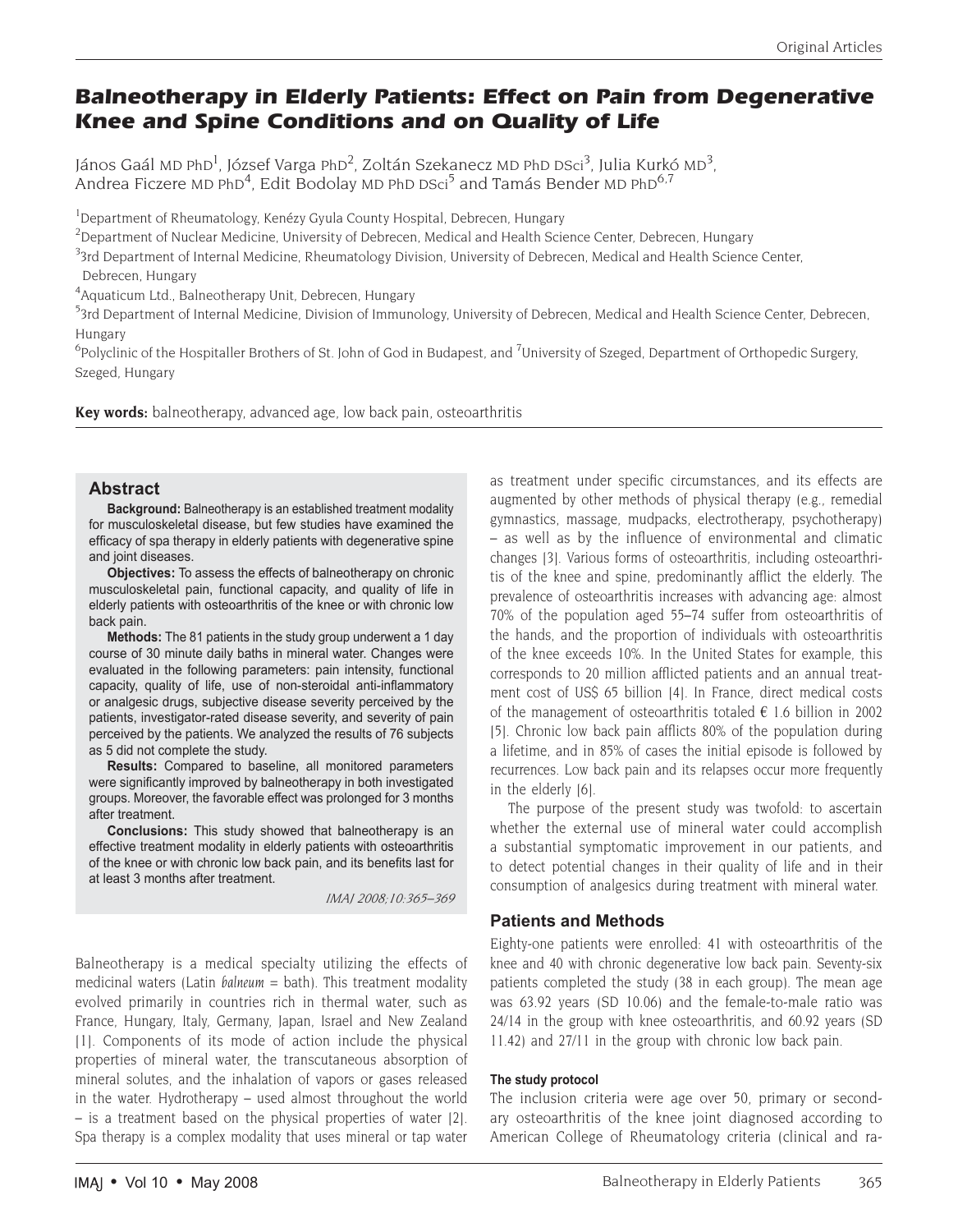# **Balneotherapy in Elderly Patients: Effect on Pain from Degenerative Knee and Spine Conditions and on Quality of Life**

János Gaál MD PhD<sup>1</sup>, József Varga PhD<sup>2</sup>, Zoltán Szekanecz MD PhD DSci<sup>3</sup>, Julia Kurkó MD<sup>3</sup>, Andrea Ficzere MD PhD<sup>4</sup>, Edit Bodolay MD PhD DSci<sup>5</sup> and Tamás Bender MD PhD<sup>6,7</sup>

<sup>1</sup>Department of Rheumatology, Kenézy Gyula County Hospital, Debrecen, Hungary

<sup>2</sup>Department of Nuclear Medicine, University of Debrecen, Medical and Health Science Center, Debrecen, Hungary

<sup>3</sup>3rd Department of Internal Medicine, Rheumatology Division, University of Debrecen, Medical and Health Science Center, Debrecen, Hungary

4 Aquaticum Ltd., Balneotherapy Unit, Debrecen, Hungary

<sup>5</sup>3rd Department of Internal Medicine, Division of Immunology, University of Debrecen, Medical and Health Science Center, Debrecen, Hungary

 $^6$ Polyclinic of the Hospitaller Brothers of St. John of God in Budapest, and  $^7$ University of Szeged, Department of Orthopedic Surgery, Szeged, Hungary

**Key words:** balneotherapy, advanced age, low back pain, osteoarthritis

## **Abstract**

**Background:** Balneotherapy is an established treatment modality for musculoskeletal disease, but few studies have examined the efficacy of spa therapy in elderly patients with degenerative spine and joint diseases.

**Objectives:** To assess the effects of balneotherapy on chronic musculoskeletal pain, functional capacity, and quality of life in elderly patients with osteoarthritis of the knee or with chronic low back pain.

**Methods:** The 81 patients in the study group underwent a 1 day course of 30 minute daily baths in mineral water. Changes were evaluated in the following parameters: pain intensity, functional capacity, quality of life, use of non-steroidal anti-inflammatory or analgesic drugs, subjective disease severity perceived by the patients, investigator-rated disease severity, and severity of pain perceived by the patients. We analyzed the results of 76 subjects as 5 did not complete the study.

**Results:** Compared to baseline, all monitored parameters were significantly improved by balneotherapy in both investigated groups. Moreover, the favorable effect was prolonged for 3 months after treatment.

**Conclusions:** This study showed that balneotherapy is an effective treatment modality in elderly patients with osteoarthritis of the knee or with chronic low back pain, and its benefits last for at least 3 months after treatment.

*IMAJ 2008;10:365–369*

Balneotherapy is a medical specialty utilizing the effects of medicinal waters (Latin *balneum* = bath). This treatment modality evolved primarily in countries rich in thermal water, such as France, Hungary, Italy, Germany, Japan, Israel and New Zealand [1]. Components of its mode of action include the physical properties of mineral water, the transcutaneous absorption of mineral solutes, and the inhalation of vapors or gases released in the water. Hydrotherapy – used almost throughout the world – is a treatment based on the physical properties of water [2]. Spa therapy is a complex modality that uses mineral or tap water as treatment under specific circumstances, and its effects are augmented by other methods of physical therapy (e.g., remedial gymnastics, massage, mudpacks, electrotherapy, psychotherapy) – as well as by the influence of environmental and climatic changes [3]. Various forms of osteoarthritis, including osteoarthritis of the knee and spine, predominantly afflict the elderly. The prevalence of osteoarthritis increases with advancing age: almost 70% of the population aged 55–74 suffer from osteoarthritis of the hands, and the proportion of individuals with osteoarthritis of the knee exceeds 10%. In the United States for example, this corresponds to 20 million afflicted patients and an annual treatment cost of US\$ 65 billion [4]. In France, direct medical costs of the management of osteoarthritis totaled  $\epsilon$  1.6 billion in 2002 [5]. Chronic low back pain afflicts 80% of the population during a lifetime, and in 85% of cases the initial episode is followed by recurrences. Low back pain and its relapses occur more frequently in the elderly [6].

The purpose of the present study was twofold: to ascertain whether the external use of mineral water could accomplish a substantial symptomatic improvement in our patients, and to detect potential changes in their quality of life and in their consumption of analgesics during treatment with mineral water.

## **Patients and Methods**

Eighty-one patients were enrolled: 41 with osteoarthritis of the knee and 40 with chronic degenerative low back pain. Seventy-six patients completed the study (38 in each group). The mean age was 63.92 years (SD 10.06) and the female-to-male ratio was 24/14 in the group with knee osteoarthritis, and 60.92 years (SD 11.42) and 27/11 in the group with chronic low back pain.

### **The study protocol**

The inclusion criteria were age over 50, primary or secondary osteoarthritis of the knee joint diagnosed according to American College of Rheumatology criteria (clinical and ra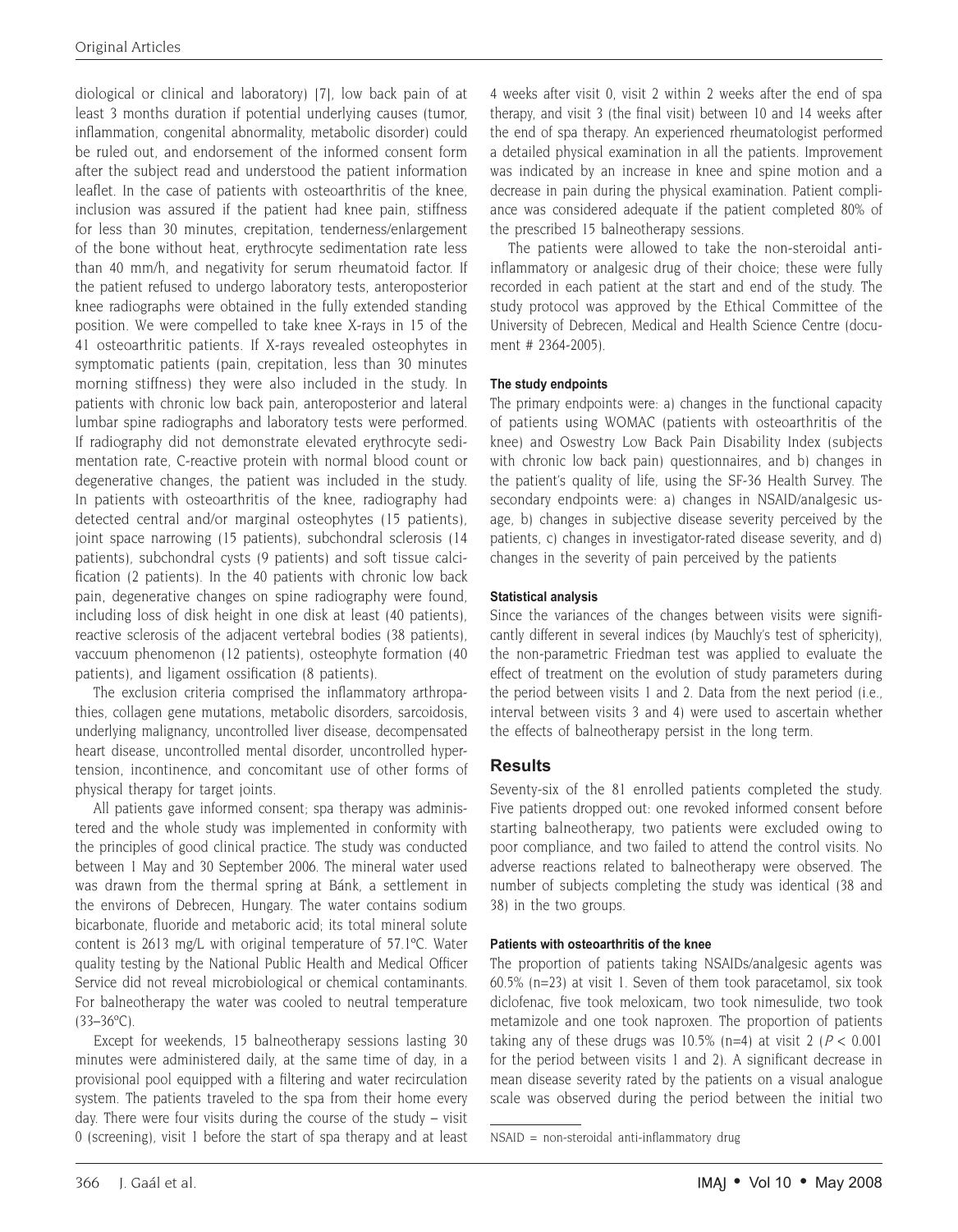diological or clinical and laboratory) [7], low back pain of at least 3 months duration if potential underlying causes (tumor, inflammation, congenital abnormality, metabolic disorder) could be ruled out, and endorsement of the informed consent form after the subject read and understood the patient information leaflet. In the case of patients with osteoarthritis of the knee, inclusion was assured if the patient had knee pain, stiffness for less than 30 minutes, crepitation, tenderness/enlargement of the bone without heat, erythrocyte sedimentation rate less than 40 mm/h, and negativity for serum rheumatoid factor. If the patient refused to undergo laboratory tests, anteroposterior knee radiographs were obtained in the fully extended standing position. We were compelled to take knee X-rays in 15 of the 41 osteoarthritic patients. If X-rays revealed osteophytes in symptomatic patients (pain, crepitation, less than 30 minutes morning stiffness) they were also included in the study. In patients with chronic low back pain, anteroposterior and lateral lumbar spine radiographs and laboratory tests were performed. If radiography did not demonstrate elevated erythrocyte sedimentation rate, C-reactive protein with normal blood count or degenerative changes, the patient was included in the study. In patients with osteoarthritis of the knee, radiography had detected central and/or marginal osteophytes (15 patients), joint space narrowing (15 patients), subchondral sclerosis (14 patients), subchondral cysts (9 patients) and soft tissue calcification (2 patients). In the 40 patients with chronic low back pain, degenerative changes on spine radiography were found, including loss of disk height in one disk at least (40 patients), reactive sclerosis of the adjacent vertebral bodies (38 patients), vaccuum phenomenon (12 patients), osteophyte formation (40 patients), and ligament ossification (8 patients).

The exclusion criteria comprised the inflammatory arthropathies, collagen gene mutations, metabolic disorders, sarcoidosis, underlying malignancy, uncontrolled liver disease, decompensated heart disease, uncontrolled mental disorder, uncontrolled hypertension, incontinence, and concomitant use of other forms of physical therapy for target joints.

All patients gave informed consent; spa therapy was administered and the whole study was implemented in conformity with the principles of good clinical practice. The study was conducted between 1 May and 30 September 2006. The mineral water used was drawn from the thermal spring at Bánk, a settlement in the environs of Debrecen, Hungary. The water contains sodium bicarbonate, fluoride and metaboric acid; its total mineral solute content is 2613 mg/L with original temperature of 57.1ºC. Water quality testing by the National Public Health and Medical Officer Service did not reveal microbiological or chemical contaminants. For balneotherapy the water was cooled to neutral temperature  $(33-36$ <sup>o</sup>C).

Except for weekends, 15 balneotherapy sessions lasting 30 minutes were administered daily, at the same time of day, in a provisional pool equipped with a filtering and water recirculation system. The patients traveled to the spa from their home every day. There were four visits during the course of the study – visit 0 (screening), visit 1 before the start of spa therapy and at least

4 weeks after visit 0, visit 2 within 2 weeks after the end of spa therapy, and visit 3 (the final visit) between 10 and 14 weeks after the end of spa therapy. An experienced rheumatologist performed a detailed physical examination in all the patients. Improvement was indicated by an increase in knee and spine motion and a decrease in pain during the physical examination. Patient compliance was considered adequate if the patient completed 80% of the prescribed 15 balneotherapy sessions.

The patients were allowed to take the non-steroidal antiinflammatory or analgesic drug of their choice; these were fully recorded in each patient at the start and end of the study. The study protocol was approved by the Ethical Committee of the University of Debrecen, Medical and Health Science Centre (document # 2364-2005).

## **The study endpoints**

The primary endpoints were: a) changes in the functional capacity of patients using WOMAC (patients with osteoarthritis of the knee) and Oswestry Low Back Pain Disability Index (subjects with chronic low back pain) questionnaires, and b) changes in the patient's quality of life, using the SF-36 Health Survey. The secondary endpoints were: a) changes in NSAID/analgesic usage, b) changes in subjective disease severity perceived by the patients, c) changes in investigator-rated disease severity, and d) changes in the severity of pain perceived by the patients

### **Statistical analysis**

Since the variances of the changes between visits were significantly different in several indices (by Mauchly's test of sphericity), the non-parametric Friedman test was applied to evaluate the effect of treatment on the evolution of study parameters during the period between visits 1 and 2. Data from the next period (i.e., interval between visits 3 and 4) were used to ascertain whether the effects of balneotherapy persist in the long term.

## **Results**

Seventy-six of the 81 enrolled patients completed the study. Five patients dropped out: one revoked informed consent before starting balneotherapy, two patients were excluded owing to poor compliance, and two failed to attend the control visits. No adverse reactions related to balneotherapy were observed. The number of subjects completing the study was identical (38 and 38) in the two groups.

### **Patients with osteoarthritis of the knee**

The proportion of patients taking NSAIDs/analgesic agents was 60.5% (n=23) at visit 1. Seven of them took paracetamol, six took diclofenac, five took meloxicam, two took nimesulide, two took metamizole and one took naproxen. The proportion of patients taking any of these drugs was 10.5% (n=4) at visit 2 ( $P < 0.001$ for the period between visits 1 and 2). A significant decrease in mean disease severity rated by the patients on a visual analogue scale was observed during the period between the initial two

NSAID = non-steroidal anti-inflammatory drug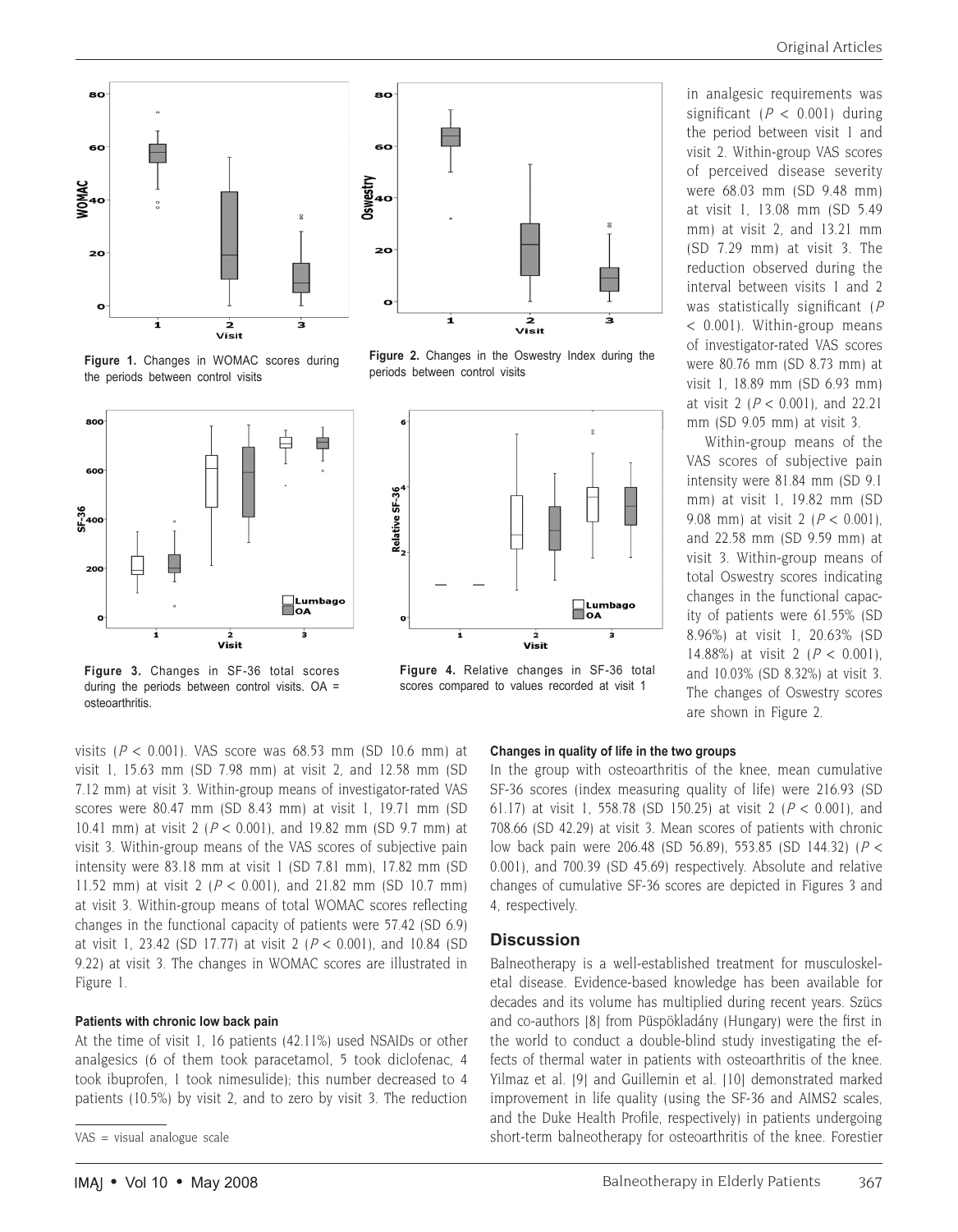





**Figure 2.** Changes in the Oswestry Index during the

periods between control visits

Ė

**Figure 1.** Changes in WOMAC scores during the periods between control visits



**Figure 3.** Changes in SF-36 total scores during the periods between control visits. OA = osteoarthritis.



Relative SF-36

significant  $(P < 0.001)$  during the period between visit 1 and visit 2. Within-group VAS scores of perceived disease severity were 68.03 mm (SD 9.48 mm) at visit 1, 13.08 mm (SD 5.49 mm) at visit 2, and 13.21 mm (SD 7.29 mm) at visit 3. The reduction observed during the interval between visits 1 and 2 was statistically significant (P < 0.001). Within-group means of investigator-rated VAS scores were 80.76 mm (SD 8.73 mm) at visit 1, 18.89 mm (SD 6.93 mm) at visit 2 ( $P < 0.001$ ), and 22.21 mm (SD 9.05 mm) at visit 3.

in analgesic requirements was

Within-group means of the VAS scores of subjective pain intensity were 81.84 mm (SD 9.1 mm) at visit 1, 19.82 mm (SD 9.08 mm) at visit 2 ( $P < 0.001$ ). and 22.58 mm (SD 9.59 mm) at visit 3. Within-group means of total Oswestry scores indicating changes in the functional capacity of patients were 61.55% (SD 8.96%) at visit 1, 20.63% (SD 14.88%) at visit 2 ( $P < 0.001$ ). and 10.03% (SD 8.32%) at visit 3. The changes of Oswestry scores are shown in Figure 2*.*

visit 1, 15.63 mm (SD 7.98 mm) at visit 2, and 12.58 mm (SD 7.12 mm) at visit 3. Within-group means of investigator-rated VAS scores were 80.47 mm (SD 8.43 mm) at visit 1, 19.71 mm (SD 10.41 mm) at visit 2 ( $P < 0.001$ ), and 19.82 mm (SD 9.7 mm) at visit 3. Within-group means of the VAS scores of subjective pain intensity were 83.18 mm at visit 1 (SD 7.81 mm), 17.82 mm (SD 11.52 mm) at visit 2 ( $P < 0.001$ ), and 21.82 mm (SD 10.7 mm) at visit 3. Within-group means of total WOMAC scores reflecting changes in the functional capacity of patients were 57.42 (SD 6.9) at visit 1, 23.42 (SD 17.77) at visit 2 ( $P < 0.001$ ), and 10.84 (SD 9.22) at visit 3. The changes in WOMAC scores are illustrated in Figure 1.

#### **Patients with chronic low back pain**

At the time of visit 1, 16 patients (42.11%) used NSAIDs or other analgesics (6 of them took paracetamol, 5 took diclofenac, 4 took ibuprofen, 1 took nimesulide); this number decreased to 4 patients (10.5%) by visit 2, and to zero by visit 3. The reduction

#### **Changes in quality of life in the two groups**

□Lumbago<br>■OA

 $\mathbf{a}$ 

In the group with osteoarthritis of the knee, mean cumulative SF-36 scores (index measuring quality of life) were 216.93 (SD 61.17) at visit 1, 558.78 (SD 150.25) at visit 2 ( $P < 0.001$ ), and 708.66 (SD 42.29) at visit 3. Mean scores of patients with chronic low back pain were 206.48 (SD 56.89), 553.85 (SD 144.32) (P < 0.001), and 700.39 (SD 45.69) respectively. Absolute and relative changes of cumulative SF-36 scores are depicted in Figures 3 and 4, respectively.

#### **Discussion**

visit

Balneotherapy is a well-established treatment for musculoskeletal disease. Evidence-based knowledge has been available for decades and its volume has multiplied during recent years. Szücs and co-authors [8] from Püspökladány (Hungary) were the first in the world to conduct a double-blind study investigating the effects of thermal water in patients with osteoarthritis of the knee. Yilmaz et al. [9] and Guillemin et al. [10] demonstrated marked improvement in life quality (using the SF-36 and AIMS2 scales, and the Duke Health Profile, respectively) in patients undergoing short-term balneotherapy for osteoarthritis of the knee. Forestier

VAS = visual analogue scale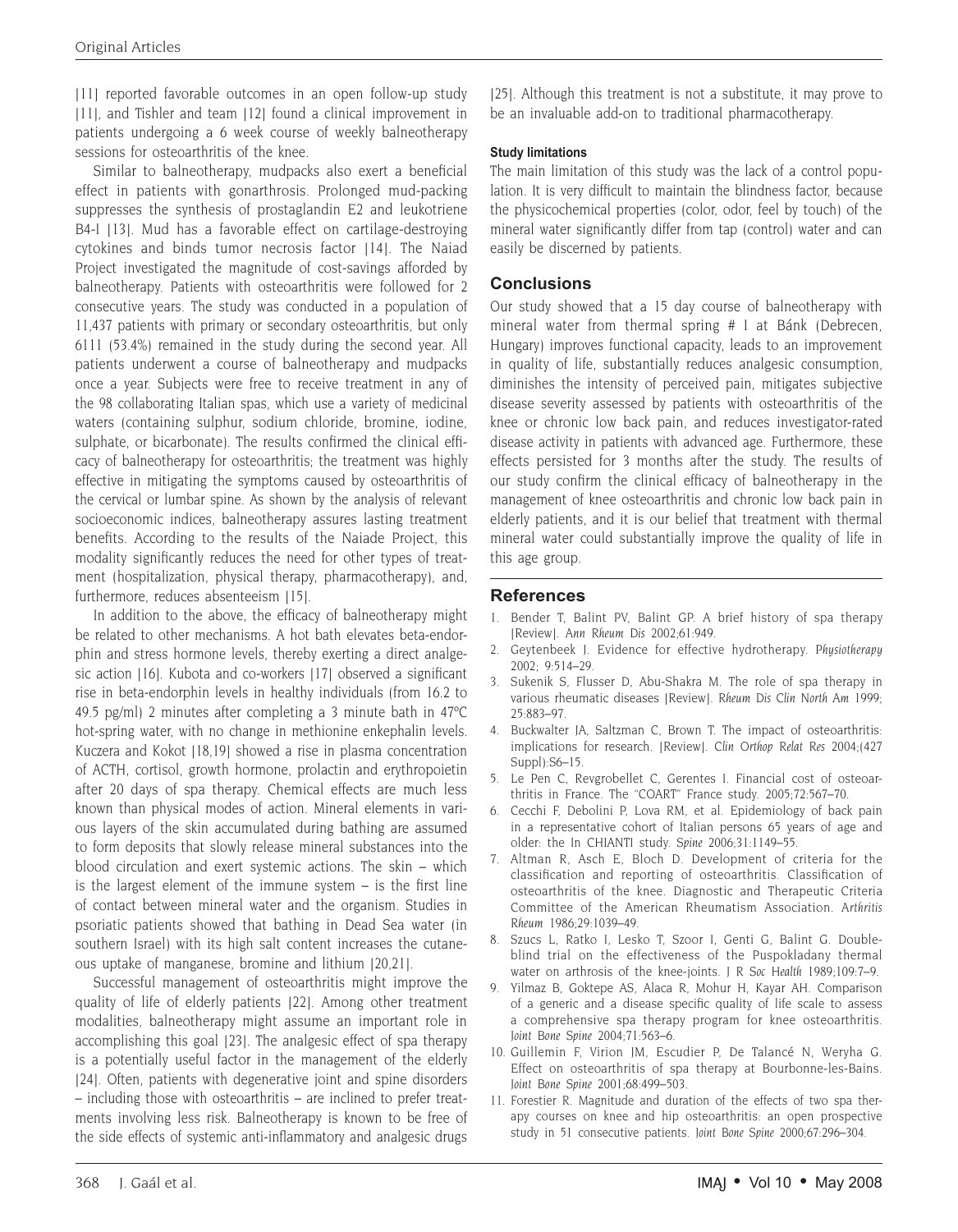[11] reported favorable outcomes in an open follow-up study [11], and Tishler and team [12] found a clinical improvement in patients undergoing a 6 week course of weekly balneotherapy sessions for osteoarthritis of the knee.

Similar to balneotherapy, mudpacks also exert a beneficial effect in patients with gonarthrosis. Prolonged mud-packing suppresses the synthesis of prostaglandin E2 and leukotriene B4-I [13]. Mud has a favorable effect on cartilage-destroying cytokines and binds tumor necrosis factor [14]. The Naiad Project investigated the magnitude of cost-savings afforded by balneotherapy. Patients with osteoarthritis were followed for 2 consecutive years. The study was conducted in a population of 11,437 patients with primary or secondary osteoarthritis, but only 6111 (53.4%) remained in the study during the second year. All patients underwent a course of balneotherapy and mudpacks once a year. Subjects were free to receive treatment in any of the 98 collaborating Italian spas, which use a variety of medicinal waters (containing sulphur, sodium chloride, bromine, iodine, sulphate, or bicarbonate). The results confirmed the clinical efficacy of balneotherapy for osteoarthritis; the treatment was highly effective in mitigating the symptoms caused by osteoarthritis of the cervical or lumbar spine. As shown by the analysis of relevant socioeconomic indices, balneotherapy assures lasting treatment benefits. According to the results of the Naiade Project, this modality significantly reduces the need for other types of treatment (hospitalization, physical therapy, pharmacotherapy), and, furthermore, reduces absenteeism [15].

In addition to the above, the efficacy of balneotherapy might be related to other mechanisms. A hot bath elevates beta-endorphin and stress hormone levels, thereby exerting a direct analgesic action [16]. Kubota and co-workers [17] observed a significant rise in beta-endorphin levels in healthy individuals (from 16.2 to 49.5 pg/ml) 2 minutes after completing a 3 minute bath in 47ºC hot-spring water, with no change in methionine enkephalin levels. Kuczera and Kokot [18,19] showed a rise in plasma concentration of ACTH, cortisol, growth hormone, prolactin and erythropoietin after 20 days of spa therapy. Chemical effects are much less known than physical modes of action. Mineral elements in various layers of the skin accumulated during bathing are assumed to form deposits that slowly release mineral substances into the blood circulation and exert systemic actions. The skin – which is the largest element of the immune system – is the first line of contact between mineral water and the organism. Studies in psoriatic patients showed that bathing in Dead Sea water (in southern Israel) with its high salt content increases the cutaneous uptake of manganese, bromine and lithium [20,21].

Successful management of osteoarthritis might improve the quality of life of elderly patients [22]. Among other treatment modalities, balneotherapy might assume an important role in accomplishing this goal [23]. The analgesic effect of spa therapy is a potentially useful factor in the management of the elderly [24]. Often, patients with degenerative joint and spine disorders – including those with osteoarthritis – are inclined to prefer treatments involving less risk. Balneotherapy is known to be free of the side effects of systemic anti-inflammatory and analgesic drugs

[25]. Although this treatment is not a substitute, it may prove to be an invaluable add-on to traditional pharmacotherapy.

## **Study limitations**

The main limitation of this study was the lack of a control population. It is very difficult to maintain the blindness factor, because the physicochemical properties (color, odor, feel by touch) of the mineral water significantly differ from tap (control) water and can easily be discerned by patients.

# **Conclusions**

Our study showed that a 15 day course of balneotherapy with mineral water from thermal spring # I at Bánk (Debrecen, Hungary) improves functional capacity, leads to an improvement in quality of life, substantially reduces analgesic consumption, diminishes the intensity of perceived pain, mitigates subjective disease severity assessed by patients with osteoarthritis of the knee or chronic low back pain, and reduces investigator-rated disease activity in patients with advanced age. Furthermore, these effects persisted for 3 months after the study. The results of our study confirm the clinical efficacy of balneotherapy in the management of knee osteoarthritis and chronic low back pain in elderly patients, and it is our belief that treatment with thermal mineral water could substantially improve the quality of life in this age group.

# **References**

- 1. Bender T, Balint PV, Balint GP. A brief history of spa therapy [Review]. *Ann Rheum Dis* 2002;61:949.
- 2. Geytenbeek J. Evidence for effective hydrotherapy. *Physiotherapy* 2002; 9:514–29.
- 3. Sukenik S, Flusser D, Abu-Shakra M. The role of spa therapy in various rheumatic diseases [Review]. *Rheum Dis Clin North Am* 1999; 25:883–97.
- 4. Buckwalter JA, Saltzman C, Brown T. The impact of osteoarthritis: implications for research. [Review]. *Clin Orthop Relat Res* 2004;(427 Suppl):S6–15.
- 5. Le Pen C, Revgrobellet C, Gerentes I. Financial cost of osteoarthritis in France. The "COART" France study. 2005;72:567–70.
- 6. Cecchi F, Debolini P, Lova RM, et al. Epidemiology of back pain in a representative cohort of Italian persons 65 years of age and older: the In CHIANTI study. *Spine* 2006;31:1149–55.
- 7. Altman R, Asch E, Bloch D. Development of criteria for the classification and reporting of osteoarthritis. Classification of osteoarthritis of the knee. Diagnostic and Therapeutic Criteria Committee of the American Rheumatism Association. *Arthritis Rheum* 1986;29:1039–49.
- 8. Szucs L, Ratko I, Lesko T, Szoor I, Genti G, Balint G. Doubleblind trial on the effectiveness of the Puspokladany thermal water on arthrosis of the knee-joints. *J R Soc Health* 1989;109:7–9.
- 9. Yilmaz B, Goktepe AS, Alaca R, Mohur H, Kayar AH. Comparison of a generic and a disease specific quality of life scale to assess a comprehensive spa therapy program for knee osteoarthritis. *Joint Bone Spine* 2004;71:563–6.
- 10. Guillemin F, Virion JM, Escudier P, De Talancé N, Weryha G. Effect on osteoarthritis of spa therapy at Bourbonne-les-Bains. *Joint Bone Spine* 2001;68:499–503.
- 11. Forestier R. Magnitude and duration of the effects of two spa therapy courses on knee and hip osteoarthritis: an open prospective study in 51 consecutive patients. *Joint Bone Spine* 2000;67:296–304.